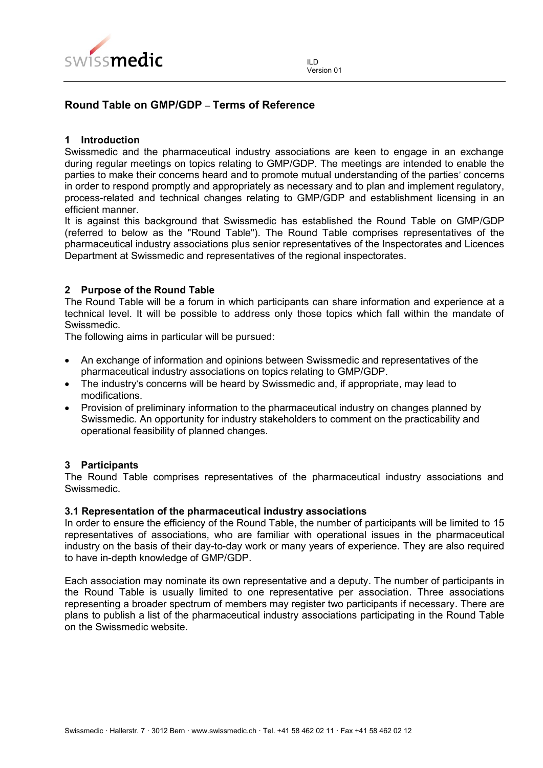

# **Round Table on GMP/GDP** – **Terms of Reference**

## **1 Introduction**

Swissmedic and the pharmaceutical industry associations are keen to engage in an exchange during regular meetings on topics relating to GMP/GDP. The meetings are intended to enable the parties to make their concerns heard and to promote mutual understanding of the parties' concerns in order to respond promptly and appropriately as necessary and to plan and implement regulatory, process-related and technical changes relating to GMP/GDP and establishment licensing in an efficient manner.

It is against this background that Swissmedic has established the Round Table on GMP/GDP (referred to below as the "Round Table"). The Round Table comprises representatives of the pharmaceutical industry associations plus senior representatives of the Inspectorates and Licences Department at Swissmedic and representatives of the regional inspectorates.

## **2 Purpose of the Round Table**

The Round Table will be a forum in which participants can share information and experience at a technical level. It will be possible to address only those topics which fall within the mandate of Swissmedic.

The following aims in particular will be pursued:

- An exchange of information and opinions between Swissmedic and representatives of the pharmaceutical industry associations on topics relating to GMP/GDP.
- The industry's concerns will be heard by Swissmedic and, if appropriate, may lead to modifications.
- Provision of preliminary information to the pharmaceutical industry on changes planned by Swissmedic. An opportunity for industry stakeholders to comment on the practicability and operational feasibility of planned changes.

#### **3 Participants**

The Round Table comprises representatives of the pharmaceutical industry associations and Swissmedic.

#### **3.1 Representation of the pharmaceutical industry associations**

In order to ensure the efficiency of the Round Table, the number of participants will be limited to 15 representatives of associations, who are familiar with operational issues in the pharmaceutical industry on the basis of their day-to-day work or many years of experience. They are also required to have in-depth knowledge of GMP/GDP.

Each association may nominate its own representative and a deputy. The number of participants in the Round Table is usually limited to one representative per association. Three associations representing a broader spectrum of members may register two participants if necessary. There are plans to publish a list of the pharmaceutical industry associations participating in the Round Table on the Swissmedic website.